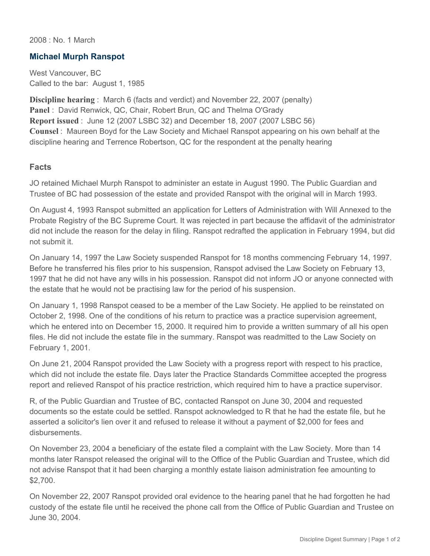2008 : No. 1 March

## **Michael Murph Ranspot**

West Vancouver, BC Called to the bar: August 1, 1985

**Discipline hearing** : March 6 (facts and verdict) and November 22, 2007 (penalty) **Panel** : David Renwick, QC, Chair, Robert Brun, QC and Thelma O'Grady **Report issued** : June 12 (2007 LSBC 32) and December 18, 2007 (2007 LSBC 56) **Counsel** : Maureen Boyd for the Law Society and Michael Ranspot appearing on his own behalf at the discipline hearing and Terrence Robertson, QC for the respondent at the penalty hearing

## **Facts**

JO retained Michael Murph Ranspot to administer an estate in August 1990. The Public Guardian and Trustee of BC had possession of the estate and provided Ranspot with the original will in March 1993.

On August 4, 1993 Ranspot submitted an application for Letters of Administration with Will Annexed to the Probate Registry of the BC Supreme Court. It was rejected in part because the affidavit of the administrator did not include the reason for the delay in filing. Ranspot redrafted the application in February 1994, but did not submit it.

On January 14, 1997 the Law Society suspended Ranspot for 18 months commencing February 14, 1997. Before he transferred his files prior to his suspension, Ranspot advised the Law Society on February 13, 1997 that he did not have any wills in his possession. Ranspot did not inform JO or anyone connected with the estate that he would not be practising law for the period of his suspension.

On January 1, 1998 Ranspot ceased to be a member of the Law Society. He applied to be reinstated on October 2, 1998. One of the conditions of his return to practice was a practice supervision agreement, which he entered into on December 15, 2000. It required him to provide a written summary of all his open files. He did not include the estate file in the summary. Ranspot was readmitted to the Law Society on February 1, 2001.

On June 21, 2004 Ranspot provided the Law Society with a progress report with respect to his practice, which did not include the estate file. Days later the Practice Standards Committee accepted the progress report and relieved Ranspot of his practice restriction, which required him to have a practice supervisor.

R, of the Public Guardian and Trustee of BC, contacted Ranspot on June 30, 2004 and requested documents so the estate could be settled. Ranspot acknowledged to R that he had the estate file, but he asserted a solicitor's lien over it and refused to release it without a payment of \$2,000 for fees and disbursements.

On November 23, 2004 a beneficiary of the estate filed a complaint with the Law Society. More than 14 months later Ranspot released the original will to the Office of the Public Guardian and Trustee, which did not advise Ranspot that it had been charging a monthly estate liaison administration fee amounting to \$2,700.

On November 22, 2007 Ranspot provided oral evidence to the hearing panel that he had forgotten he had custody of the estate file until he received the phone call from the Office of Public Guardian and Trustee on June 30, 2004.